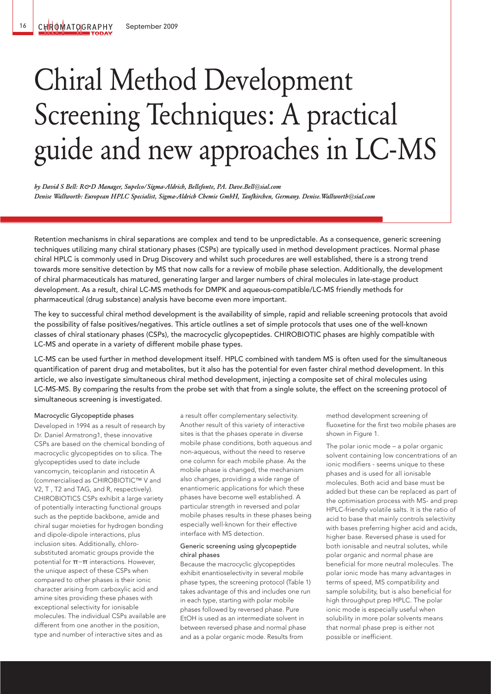# Chiral Method Development Screening Techniques: A practical guide and new approaches in LC-MS

*by David S Bell: R&D Manager, Supelco/Sigma-Aldrich, Bellefonte, PA. Dave.Bell@sial.com Denise Wallworth: European HPLC Specialist, Sigma-Aldrich Chemie GmbH, Taufkirchen, Germany. Denise.Wallworth@sial.com*

Retention mechanisms in chiral separations are complex and tend to be unpredictable. As a consequence, generic screening techniques utilizing many chiral stationary phases (CSPs) are typically used in method development practices. Normal phase chiral HPLC is commonly used in Drug Discovery and whilst such procedures are well established, there is a strong trend towards more sensitive detection by MS that now calls for a review of mobile phase selection. Additionally, the development of chiral pharmaceuticals has matured, generating larger and larger numbers of chiral molecules in late-stage product development. As a result, chiral LC-MS methods for DMPK and aqueous-compatible/LC-MS friendly methods for pharmaceutical (drug substance) analysis have become even more important.

The key to successful chiral method development is the availability of simple, rapid and reliable screening protocols that avoid the possibility of false positives/negatives. This article outlines a set of simple protocols that uses one of the well-known classes of chiral stationary phases (CSPs), the macrocyclic glycopeptides. CHIROBIOTIC phases are highly compatible with LC-MS and operate in a variety of different mobile phase types.

LC-MS can be used further in method development itself. HPLC combined with tandem MS is often used for the simultaneous quantification of parent drug and metabolites, but it also has the potential for even faster chiral method development. In this article, we also investigate simultaneous chiral method development, injecting a composite set of chiral molecules using LC-MS-MS. By comparing the results from the probe set with that from a single solute, the effect on the screening protocol of simultaneous screening is investigated.

## Macrocyclic Glycopeptide phases

Developed in 1994 as a result of research by Dr. Daniel Armstrong1, these innovative CSPs are based on the chemical bonding of macrocyclic glycopeptides on to silica. The glycopeptides used to date include vancomycin, teicoplanin and ristocetin A (commercialised as CHIROBIOTIC™ V and V2, T , T2 and TAG, and R, respectively). CHIROBIOTICS CSPs exhibit a large variety of potentially interacting functional groups such as the peptide backbone, amide and chiral sugar moieties for hydrogen bonding and dipole-dipole interactions, plus inclusion sites. Additionally, chlorosubstituted aromatic groups provide the potential for π-π interactions. However, the unique aspect of these CSPs when compared to other phases is their ionic character arising from carboxylic acid and amine sites providing these phases with exceptional selectivity for ionisable molecules. The individual CSPs available are different from one another in the position, type and number of interactive sites and as

a result offer complementary selectivity. Another result of this variety of interactive sites is that the phases operate in diverse mobile phase conditions, both aqueous and non-aqueous, without the need to reserve one column for each mobile phase. As the mobile phase is changed, the mechanism also changes, providing a wide range of enantiomeric applications for which these phases have become well established. A particular strength in reversed and polar mobile phases results in these phases being especially well-known for their effective interface with MS detection.

# Generic screening using glycopeptide chiral phases

Because the macrocyclic glycopeptides exhibit enantioselectivity in several mobile phase types, the screening protocol (Table 1) takes advantage of this and includes one run in each type, starting with polar mobile phases followed by reversed phase. Pure EtOH is used as an intermediate solvent in between reversed phase and normal phase and as a polar organic mode. Results from

method development screening of fluoxetine for the first two mobile phases are shown in Figure 1.

The polar ionic mode – a polar organic solvent containing low concentrations of an ionic modifiers - seems unique to these phases and is used for all ionisable molecules. Both acid and base must be added but these can be replaced as part of the optimisation process with MS- and prep HPLC-friendly volatile salts. It is the ratio of acid to base that mainly controls selectivity with bases preferring higher acid and acids, higher base. Reversed phase is used for both ionisable and neutral solutes, while polar organic and normal phase are beneficial for more neutral molecules. The polar ionic mode has many advantages in terms of speed, MS compatibility and sample solubility, but is also beneficial for high throughput prep HPLC. The polar ionic mode is especially useful when solubility in more polar solvents means that normal phase prep is either not possible or inefficient.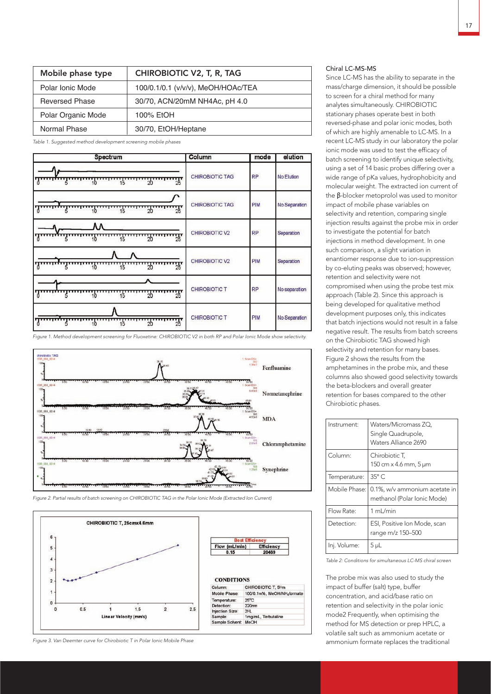| Mobile phase type     | <b>CHIROBIOTIC V2, T, R, TAG</b>   |
|-----------------------|------------------------------------|
| Polar Ionic Mode      | 100/0.1/0.1 (v/v/v), MeOH/HOAc/TEA |
| <b>Reversed Phase</b> | 30/70, ACN/20mM NH4Ac, pH 4.0      |
| Polar Organic Mode    | 100% EtOH                          |
| Normal Phase          | 30/70, EtOH/Heptane                |

Table 1. Suggested method development screening mobile phases

| Spectrum                             | Column                 | mode       | elution       |
|--------------------------------------|------------------------|------------|---------------|
| $\frac{1}{20}$<br><u> Ammunðun</u>   | CHIROBIOTIC TAG        | <b>RP</b>  | No Elution    |
| $\frac{1}{25}$<br>$\frac{1}{2}$      | <b>CHIROBIOTIC TAG</b> | <b>PIM</b> | No Separation |
| $\frac{1}{25}$                       | <b>CHIROBIOTIC V2</b>  | RP         | Separation    |
| $25$ $25$                            | <b>CHIROBIOTIC V2</b>  | PIM        | Separation    |
| $\frac{1}{25}$<br>$\frac{1}{2}$<br>5 | CHIROBIOTIC T          | <b>RP</b>  | No separation |
| $\frac{1}{25}$<br>20<br>ь            | <b>CHIROBIOTIC T</b>   | <b>PIM</b> | No Separation |

Figure 1. Method development screening for Fluoxetine: CHIROBIOTIC V2 in both RP and Polar Ionic Mode show selectivity.



Figure 2. Partial results of batch screening on CHIROBIOTIC TAG in the Polar Ionic Mode (Extracted Ion Current)



Figure 3. Van Deemter curve for Chirobiotic T in Polar Ionic Mobile Phase

# Chiral LC-MS-MS

Since LC-MS has the ability to separate in the mass/charge dimension, it should be possible to screen for a chiral method for many analytes simultaneously. CHIROBIOTIC stationary phases operate best in both reversed-phase and polar ionic modes, both of which are highly amenable to LC-MS. In a recent LC-MS study in our laboratory the polar ionic mode was used to test the efficacy of batch screening to identify unique selectivity, using a set of 14 basic probes differing over a wide range of pKa values, hydrophobicity and molecular weight. The extracted ion current of the β-blocker metoprolol was used to monitor impact of mobile phase variables on selectivity and retention, comparing single injection results against the probe mix in order to investigate the potential for batch injections in method development. In one such comparison, a slight variation in enantiomer response due to ion-suppression by co-eluting peaks was observed; however, retention and selectivity were not compromised when using the probe test mix approach (Table 2). Since this approach is being developed for qualitative method development purposes only, this indicates that batch injections would not result in a false negative result. The results from batch screens on the Chirobiotic TAG showed high selectivity and retention for many bases. Figure 2 shows the results from the amphetamines in the probe mix, and these columns also showed good selectivity towards the beta-blockers and overall greater retention for bases compared to the other Chirobiotic phases.

| Instrument:     | Waters/Micromass ZQ,<br>Single Quadrupole,<br>Waters Alliance 2690 |
|-----------------|--------------------------------------------------------------------|
| Column:         | Chirobiotic T,<br>150 cm x 4.6 mm, 5 µm                            |
| Temperature:    | $35^{\circ}$ C                                                     |
| Mobile Phase: I | 0.1%, w/v ammonium acetate in<br>methanol (Polar Ionic Mode)       |
| Flow Rate:      | 1 mL/min                                                           |
| Detection:      | ESI, Positive Ion Mode, scan<br>range m/z 150-500                  |
| Inj. Volume:    | 5 µL                                                               |

Table 2: Conditions for simultaneous LC-MS chiral screen

The probe mix was also used to study the impact of buffer (salt) type, buffer concentration, and acid/base ratio on retention and selectivity in the polar ionic mode2 Frequently, when optimising the method for MS detection or prep HPLC, a volatile salt such as ammonium acetate or ammonium formate replaces the traditional